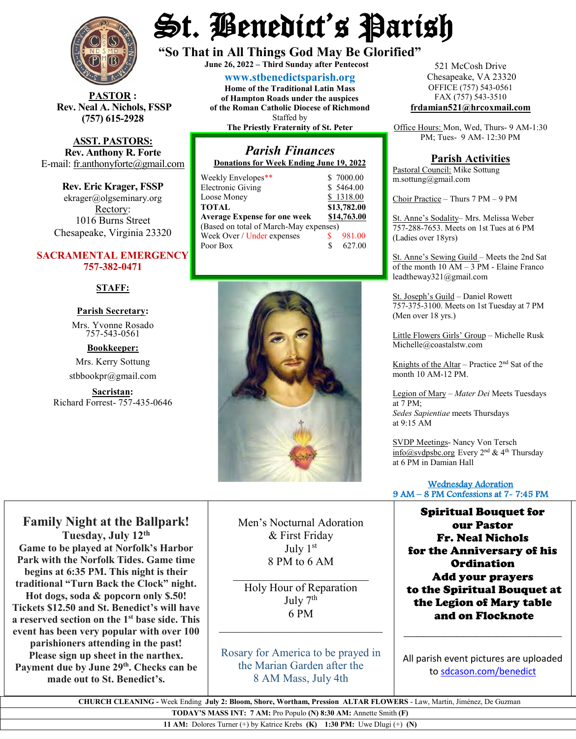

**STOR** : **Rev. Neal A. Nichols, FSSP (757) 615-2928** 

**ASST. PASTORS: Rev. Anthony R. Forte** E-mail: [fr.anthonyforte@gmail.com](mailto:fr.anthonyforte@gmail.com)

**Rev. Eric Krager, FSSP** ekrager@olgseminary.org Rectory: 1016 Burns Street Chesapeake, Virginia 23320

#### **SACRAMENTAL EMERGENCY 757-382-0471**

**STAFF:**

#### **Parish Secretary:**

Mrs. Yvonne Rosado757-543-0561

## **Bookkeeper:**

Mrs. Kerry Sottung stbbookpr@gmail.com

**Sacristan:**  Richard Forrest- 757-435-0646

# St. Benedict's Parish

**"So That in All Things God May Be Glorified" June 26, <sup>2022</sup> – Third Sunday after Pentecost**

**[www.stbenedictsparish.org](http://www.stbenedictsparish.org/) Home of the Traditional Latin Mass of Hampton Roads under the auspices of the Roman Catholic Diocese of Richmond** Staffed by **The Priestly Fraternity of St. Peter**

#### *Parish Finances* **Donations for Week Ending June 19, 2022**

| Weekly Envelopes**                     |   | \$7000.00   |
|----------------------------------------|---|-------------|
| <b>Electronic Giving</b>               |   | \$5464.00   |
| Loose Money                            |   | \$1318.00   |
| <b>TOTAL</b>                           |   | \$13,782.00 |
| <b>Average Expense for one week</b>    |   | \$14,763.00 |
| (Based on total of March-May expenses) |   |             |
| Week Over / Under expenses             |   | 981.00      |
| Poor Box                               | S | 627.00      |
|                                        |   |             |



**Family Night at the Ballpark! Tuesday, July 12th Game to be played at Norfolk's Harbor Park with the Norfolk Tides. Game time begins at 6:35 PM. This night is their traditional "Turn Back the Clock" night. Hot dogs, soda & popcorn only \$.50! Tickets \$12.50 and St. Benedict's will have a reserved section on the 1st base side. This event has been very popular with over 100 parishioners attending in the past! Please sign up sheet in the narthex.** Payment due by June 29<sup>th</sup>. Checks can be **made out to St. Benedict's.** 

Men's Nocturnal Adoration & First Friday July 1st 8 PM to 6 AM

Holy Hour of Reparation July  $7<sup>th</sup>$ 6 PM

*\_\_\_\_\_\_\_\_\_\_\_\_\_\_\_\_\_\_\_\_\_\_\_\_\_\_\_\_\_*

 $\overline{\phantom{a}}$  , and the set of the set of the set of the set of the set of the set of the set of the set of the set of the set of the set of the set of the set of the set of the set of the set of the set of the set of the s

Rosary for America to be prayed in the Marian Garden after the 8 AM Mass, July 4th

521 McCosh Drive Chesapeake, VA 23320 OFFICE (757) 543-0561 FAX (757) 543-3510 **[frdamian521@hrcoxmail.com](mailto:frdamian521@hrcoxmail.com)**

Office Hours: Mon, Wed, Thurs- 9 AM-1:30 PM; Tues- 9 AM- 12:30 PM

### **Parish Activities**

Pastoral Council: Mike Sottung m.sottung@gmail.com

Choir Practice – Thurs 7 PM – 9 PM

St. Anne's Sodality– Mrs. Melissa Weber 757-288-7653. Meets on 1st Tues at 6 PM (Ladies over 18yrs)

St. Anne's Sewing Guild – Meets the 2nd Sat of the month  $10 AM - 3 PM$  - Elaine Franco leadtheway321@gmail.com

St. Joseph's Guild – Daniel Rowett 757-375-3100. Meets on 1st Tuesday at 7 PM (Men over 18 yrs.)

Little Flowers Girls' Group – Michelle Rusk Michelle@coastalstw.com

Knights of the Altar – Practice  $2<sup>nd</sup>$  Sat of the month 10 AM-12 PM.

Legion of Mary – *Mater Dei* Meets Tuesdays at 7 PM; *Sedes Sapientiae* meets Thursdays at 9:15 AM

SVDP Meetings- Nancy Von Tersch [info@svdpsbc.org](mailto:info@svdpsbc.org) Every 2<sup>nd</sup> & 4<sup>th</sup> Thursday at 6 PM in Damian Hall

#### Wednesday Adoration 9 AM – 8 PM Confessions at 7- 7:45 PM

Spiritual Bouquet for our Pastor Fr. Neal Nichols for the Anniversary of his **Ordination** Add your prayers to the Spiritual Bouquet at the Legion of Mary table and on Flocknote

All parish event pictures are uploaded t[o sdcason.com/benedict](http://sdcason.com/benedict)

 $\overline{\phantom{a}}$  , and the set of the set of the set of the set of the set of the set of the set of the set of the set of the set of the set of the set of the set of the set of the set of the set of the set of the set of the s

 **CHURCH CLEANING -** Week Ending **July 2: Bloom, Shore, Wortham, Pression ALTAR FLOWERS** - Law, Martin, Jiménez, De Guzman

**TODAY'S MASS INT: 7 AM:** Pro Populo **(N) 8:30 AM:** Annette Smith **(F)**

**11 AM:** Dolores Turner (+) by Katrice Krebs **(K) 1:30 PM:** Uwe Dlugi (+) **(N)**